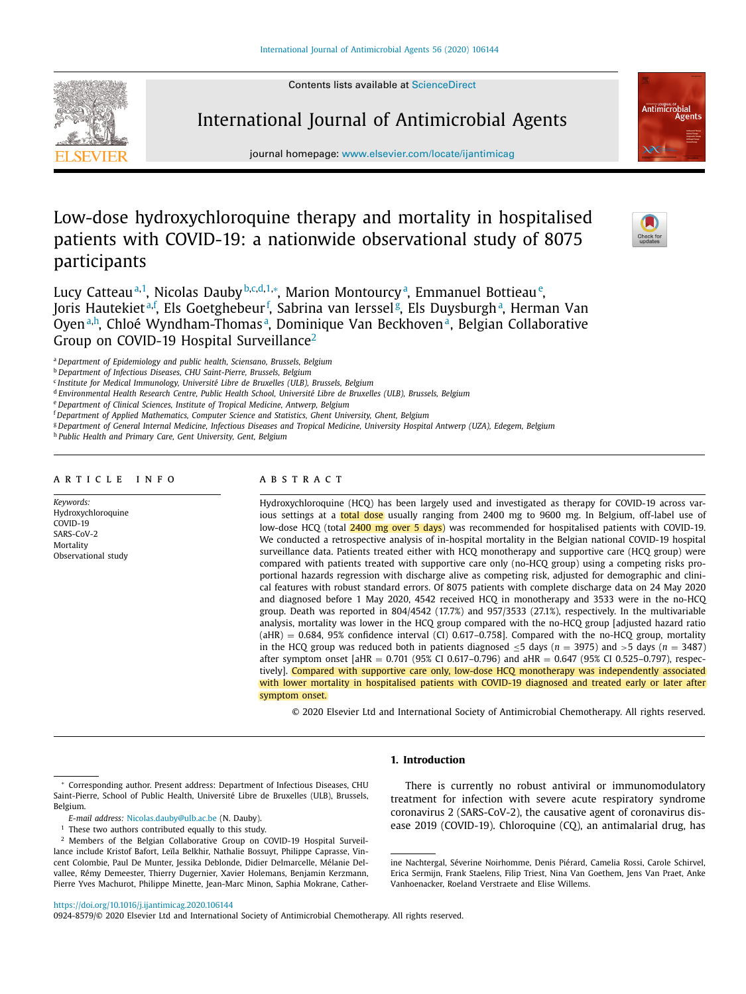Contents lists available at [ScienceDirect](http://www.ScienceDirect.com)





journal homepage: [www.elsevier.com/locate/ijantimicag](http://www.elsevier.com/locate/ijantimicag)

# Low-dose hydroxychloroquine therapy and mortality in hospitalised patients with COVID-19: a nationwide observational study of 8075 participants



Lucy Catteau<sup>a,1</sup>, Nicolas Dauby<sup>b,c,d,1,</sup>\*, Marion Montourcy<sup>a</sup>, Emmanuel Bottieau<sup>e</sup>, Joris Hautekiet<sup>a,f</sup>, Els Goetghebeur<sup>f</sup>, Sabrina van Ierssel<sup>g</sup>, Els Duysburgh<sup>a</sup>, Herman Van Oyen<sup>a,h</sup>, Chloé Wyndham-Thomas<sup>a</sup>, Dominique Van Beckhoven<sup>a</sup>, Belgian Collaborative Group on COVID-19 Hospital Surveillance<sup>2</sup>

<sup>a</sup> *Department of Epidemiology and public health, Sciensano, Brussels, Belgium*

<sup>b</sup> *Department of Infectious Diseases, CHU Saint-Pierre, Brussels, Belgium*

<sup>c</sup> *Institute for Medical Immunology, Université Libre de Bruxelles (ULB), Brussels, Belgium*

<sup>d</sup> *Environmental Health Research Centre, Public Health School, Université Libre de Bruxelles (ULB), Brussels, Belgium*

<sup>e</sup> *Department of Clinical Sciences, Institute of Tropical Medicine, Antwerp, Belgium*

<sup>f</sup> *Department of Applied Mathematics, Computer Science and Statistics, Ghent University, Ghent, Belgium*

<sup>g</sup> Department of General Internal Medicine, Infectious Diseases and Tropical Medicine, University Hospital Antwerp (UZA), Edegem, Belgium

<sup>h</sup> *Public Health and Primary Care, Gent University, Gent, Belgium*

#### A R T I C L E I N F O

*Keywords:* Hydroxychloroquine COVID-19 SARS-CoV-2 Mortality Observational study

# A B S T R A C T

Hydroxychloroquine (HCQ) has been largely used and investigated as therapy for COVID-19 across various settings at a total dose usually ranging from 2400 mg to 9600 mg. In Belgium, off-label use of low-dose HCQ (total 2400 mg over 5 days) was recommended for hospitalised patients with COVID-19. We conducted a retrospective analysis of in-hospital mortality in the Belgian national COVID-19 hospital surveillance data. Patients treated either with HCQ monotherapy and supportive care (HCQ group) were compared with patients treated with supportive care only (no-HCQ group) using a competing risks proportional hazards regression with discharge alive as competing risk, adjusted for demographic and clinical features with robust standard errors. Of 8075 patients with complete discharge data on 24 May 2020 and diagnosed before 1 May 2020, 4542 received HCQ in monotherapy and 3533 were in the no-HCQ group. Death was reported in 804/4542 (17.7%) and 957/3533 (27.1%), respectively. In the multivariable analysis, mortality was lower in the HCQ group compared with the no-HCQ group [adjusted hazard ratio  $(AHR) = 0.684$ , 95% confidence interval (CI) 0.617-0.758]. Compared with the no-HCQ group, mortality in the HCQ group was reduced both in patients diagnosed ≤5 days (*n* = 3975) and >5 days (*n* = 3487) after symptom onset  $[AHR = 0.701 (95% CI 0.617 - 0.796)$  and  $AHR = 0.647 (95% CI 0.525 - 0.797)$ , respectively]. Compared with supportive care only, low-dose HCQ monotherapy was independently associated with lower mortality in hospitalised patients with COVID-19 diagnosed and treated early or later after symptom onset.

© 2020 Elsevier Ltd and International Society of Antimicrobial Chemotherapy. All rights reserved.

# **1. Introduction**

There is currently no robust antiviral or immunomodulatory treatment for infection with severe acute respiratory syndrome coronavirus 2 (SARS-CoV-2), the causative agent of coronavirus disease 2019 (COVID-19). Chloroquine (CQ), an antimalarial drug, has

<https://doi.org/10.1016/j.ijantimicag.2020.106144>

0924-8579/© 2020 Elsevier Ltd and International Society of Antimicrobial Chemotherapy. All rights reserved.

Corresponding author. Present address: Department of Infectious Diseases, CHU Saint-Pierre, School of Public Health, Université Libre de Bruxelles (ULB), Brussels, Belgium.

*E-mail address:* [Nicolas.dauby@ulb.ac.be](mailto:Nicolas.dauby@ulb.ac.be) (N. Dauby).

 $1$  These two authors contributed equally to this study.

<sup>2</sup> Members of the Belgian Collaborative Group on COVID-19 Hospital Surveillance include Kristof Bafort, Leïla Belkhir, Nathalie Bossuyt, Philippe Caprasse, Vincent Colombie, Paul De Munter, Jessika Deblonde, Didier Delmarcelle, Mélanie Delvallee, Rémy Demeester, Thierry Dugernier, Xavier Holemans, Benjamin Kerzmann, Pierre Yves Machurot, Philippe Minette, Jean-Marc Minon, Saphia Mokrane, Cather-

ine Nachtergal, Séverine Noirhomme, Denis Piérard, Camelia Rossi, Carole Schirvel, Erica Sermijn, Frank Staelens, Filip Triest, Nina Van Goethem, Jens Van Praet, Anke Vanhoenacker, Roeland Verstraete and Elise Willems.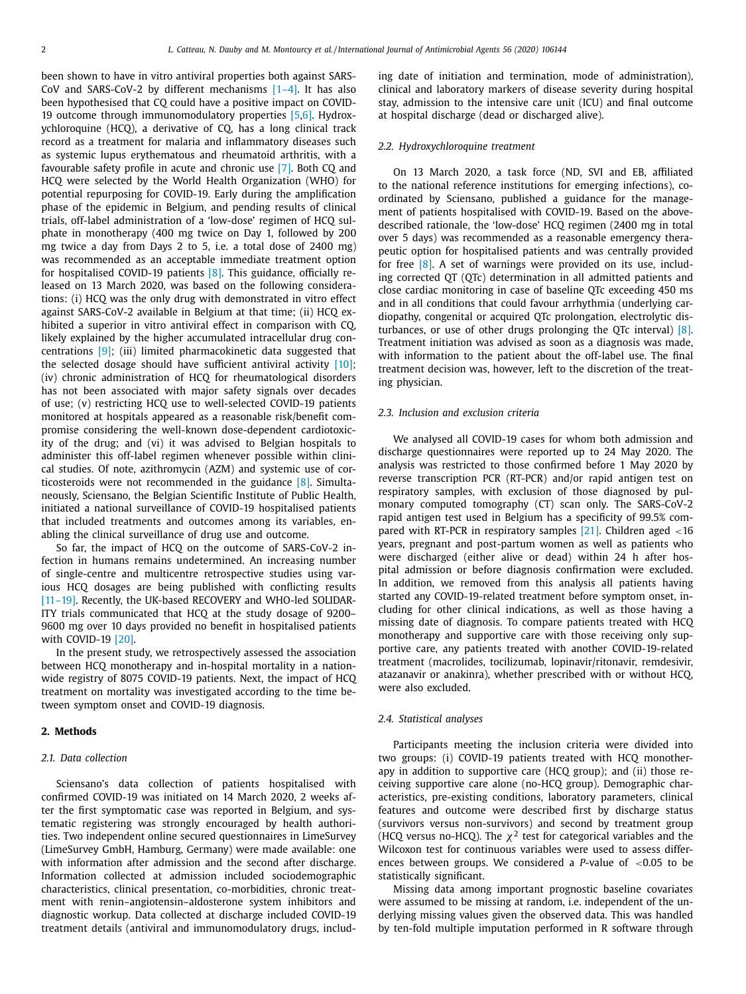been shown to have in vitro antiviral properties both against SARS-CoV and SARS-CoV-2 by different mechanisms  $[1-4]$ . It has also been hypothesised that CQ could have a positive impact on COVID-19 outcome through immunomodulatory properties [5,6]. Hydroxychloroquine (HCQ), a derivative of CQ, has a long clinical track record as a treatment for malaria and inflammatory diseases such as systemic lupus erythematous and rheumatoid arthritis, with a favourable safety profile in acute and chronic use [7]. Both CQ and HCQ were selected by the World Health Organization (WHO) for potential repurposing for COVID-19. Early during the amplification phase of the epidemic in Belgium, and pending results of clinical trials, off-label administration of a 'low-dose' regimen of HCQ sulphate in monotherapy (400 mg twice on Day 1, followed by 200 mg twice a day from Days 2 to 5, i.e. a total dose of 2400 mg) was recommended as an acceptable immediate treatment option for hospitalised COVID-19 patients [8]. This guidance, officially released on 13 March 2020, was based on the following considerations: (i) HCQ was the only drug with demonstrated in vitro effect against SARS-CoV-2 available in Belgium at that time; (ii) HCQ exhibited a superior in vitro antiviral effect in comparison with CQ, likely explained by the higher accumulated intracellular drug concentrations [9]; (iii) limited pharmacokinetic data suggested that the selected dosage should have sufficient antiviral activity  $[10]$ ; (iv) chronic administration of HCQ for rheumatological disorders has not been associated with major safety signals over decades of use; (v) restricting HCQ use to well-selected COVID-19 patients monitored at hospitals appeared as a reasonable risk/benefit compromise considering the well-known dose-dependent cardiotoxicity of the drug; and (vi) it was advised to Belgian hospitals to administer this off-label regimen whenever possible within clinical studies. Of note, azithromycin (AZM) and systemic use of corticosteroids were not recommended in the guidance [8]. Simultaneously, Sciensano, the Belgian Scientific Institute of Public Health, initiated a national surveillance of COVID-19 hospitalised patients that included treatments and outcomes among its variables, enabling the clinical surveillance of drug use and outcome.

So far, the impact of HCQ on the outcome of SARS-CoV-2 infection in humans remains undetermined. An increasing number of single-centre and multicentre retrospective studies using various HCQ dosages are being published with conflicting results [11–19]. Recently, the UK-based RECOVERY and WHO-led SOLIDAR-ITY trials communicated that HCQ at the study dosage of 9200– 9600 mg over 10 days provided no benefit in hospitalised patients with COVID-19 [20].

In the present study, we retrospectively assessed the association between HCQ monotherapy and in-hospital mortality in a nationwide registry of 8075 COVID-19 patients. Next, the impact of HCQ treatment on mortality was investigated according to the time between symptom onset and COVID-19 diagnosis.

# **2. Methods**

#### *2.1. Data collection*

Sciensano's data collection of patients hospitalised with confirmed COVID-19 was initiated on 14 March 2020, 2 weeks after the first symptomatic case was reported in Belgium, and systematic registering was strongly encouraged by health authorities. Two independent online secured questionnaires in LimeSurvey (LimeSurvey GmbH, Hamburg, Germany) were made available: one with information after admission and the second after discharge. Information collected at admission included sociodemographic characteristics, clinical presentation, co-morbidities, chronic treatment with renin–angiotensin–aldosterone system inhibitors and diagnostic workup. Data collected at discharge included COVID-19 treatment details (antiviral and immunomodulatory drugs, including date of initiation and termination, mode of administration), clinical and laboratory markers of disease severity during hospital stay, admission to the intensive care unit (ICU) and final outcome at hospital discharge (dead or discharged alive).

# *2.2. Hydroxychloroquine treatment*

On 13 March 2020, a task force (ND, SVI and EB, affiliated to the national reference institutions for emerging infections), coordinated by Sciensano, published a guidance for the management of patients hospitalised with COVID-19. Based on the abovedescribed rationale, the 'low-dose' HCQ regimen (2400 mg in total over 5 days) was recommended as a reasonable emergency therapeutic option for hospitalised patients and was centrally provided for free [8]. A set of warnings were provided on its use, including corrected QT (QTc) determination in all admitted patients and close cardiac monitoring in case of baseline QTc exceeding 450 ms and in all conditions that could favour arrhythmia (underlying cardiopathy, congenital or acquired QTc prolongation, electrolytic disturbances, or use of other drugs prolonging the QTc interval)  $[8]$ . Treatment initiation was advised as soon as a diagnosis was made, with information to the patient about the off-label use. The final treatment decision was, however, left to the discretion of the treating physician.

## *2.3. Inclusion and exclusion criteria*

We analysed all COVID-19 cases for whom both admission and discharge questionnaires were reported up to 24 May 2020. The analysis was restricted to those confirmed before 1 May 2020 by reverse transcription PCR (RT-PCR) and/or rapid antigen test on respiratory samples, with exclusion of those diagnosed by pulmonary computed tomography (CT) scan only. The SARS-CoV-2 rapid antigen test used in Belgium has a specificity of 99.5% compared with RT-PCR in respiratory samples [21]. Children aged <16 years, pregnant and post-partum women as well as patients who were discharged (either alive or dead) within 24 h after hospital admission or before diagnosis confirmation were excluded. In addition, we removed from this analysis all patients having started any COVID-19-related treatment before symptom onset, including for other clinical indications, as well as those having a missing date of diagnosis. To compare patients treated with HCQ monotherapy and supportive care with those receiving only supportive care, any patients treated with another COVID-19-related treatment (macrolides, tocilizumab, lopinavir/ritonavir, remdesivir, atazanavir or anakinra), whether prescribed with or without HCQ, were also excluded.

#### *2.4. Statistical analyses*

Participants meeting the inclusion criteria were divided into two groups: (i) COVID-19 patients treated with HCQ monotherapy in addition to supportive care (HCQ group); and (ii) those receiving supportive care alone (no-HCQ group). Demographic characteristics, pre-existing conditions, laboratory parameters, clinical features and outcome were described first by discharge status (survivors versus non-survivors) and second by treatment group (HCQ versus no-HCQ). The  $\chi^2$  test for categorical variables and the Wilcoxon test for continuous variables were used to assess differences between groups. We considered a *P*-value of <0.05 to be statistically significant.

Missing data among important prognostic baseline covariates were assumed to be missing at random, i.e. independent of the underlying missing values given the observed data. This was handled by ten-fold multiple imputation performed in R software through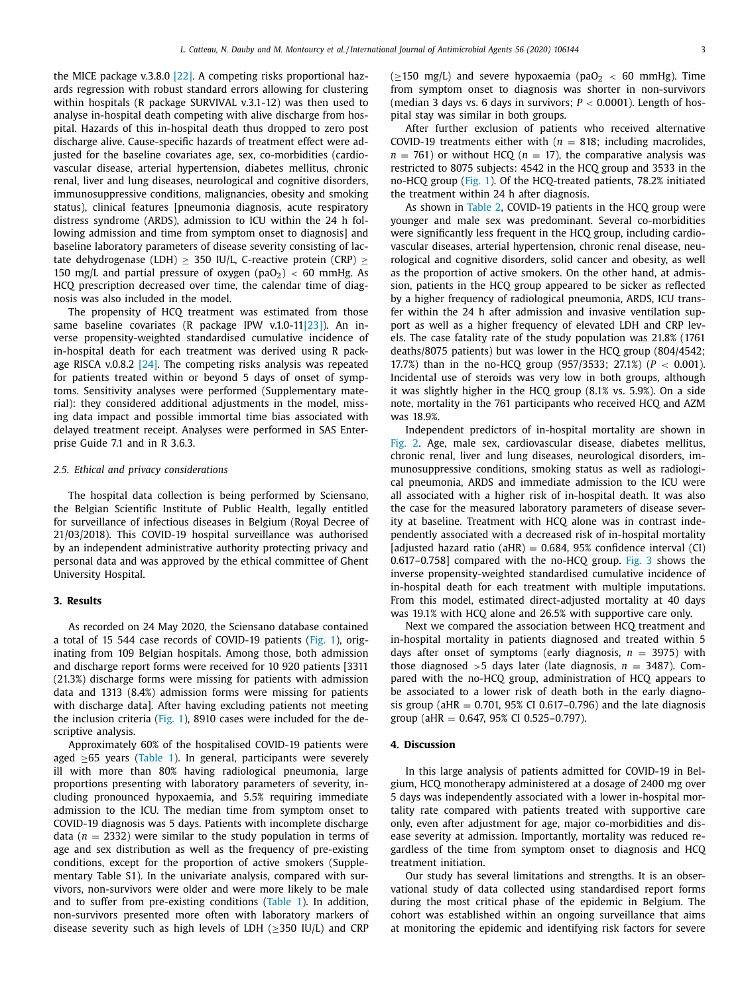the MICE package v.3.8.0 [22]. A competing risks proportional hazards regression with robust standard errors allowing for clustering within hospitals (R package SURVIVAL v.3.1-12) was then used to analyse in-hospital death competing with alive discharge from hospital. Hazards of this in-hospital death thus dropped to zero post discharge alive. Cause-specific hazards of treatment effect were adjusted for the baseline covariates age, sex, co-morbidities (cardiovascular disease, arterial hypertension, diabetes mellitus, chronic renal, liver and lung diseases, neurological and cognitive disorders, immunosuppressive conditions, malignancies, obesity and smoking status), clinical features [pneumonia diagnosis, acute respiratory distress syndrome (ARDS), admission to ICU within the 24 h following admission and time from symptom onset to diagnosis] and baseline laboratory parameters of disease severity consisting of lactate dehydrogenase (LDH)  $\geq$  350 IU/L, C-reactive protein (CRP)  $\geq$ 150 mg/L and partial pressure of oxygen (paO<sub>2</sub>) < 60 mmHg. As HCQ prescription decreased over time, the calendar time of diagnosis was also included in the model.

The propensity of HCQ treatment was estimated from those same baseline covariates (R package IPW v.1.0-11[23]). An inverse propensity-weighted standardised cumulative incidence of in-hospital death for each treatment was derived using R package RISCA v.0.8.2 [24]. The competing risks analysis was repeated for patients treated within or beyond 5 days of onset of symptoms. Sensitivity analyses were performed (Supplementary material): they considered additional adjustments in the model, missing data impact and possible immortal time bias associated with delayed treatment receipt. Analyses were performed in SAS Enterprise Guide 7.1 and in R 3.6.3.

## *2.5. Ethical and privacy considerations*

The hospital data collection is being performed by Sciensano, the Belgian Scientific Institute of Public Health, legally entitled for surveillance of infectious diseases in Belgium (Royal Decree of 21/03/2018). This COVID-19 hospital surveillance was authorised by an independent administrative authority protecting privacy and personal data and was approved by the ethical committee of Ghent University Hospital.

# **3. Results**

As recorded on 24 May 2020, the Sciensano database contained a total of 15 544 case records of COVID-19 patients (Fig. 1), originating from 109 Belgian hospitals. Among those, both admission and discharge report forms were received for 10 920 patients [3311 (21.3%) discharge forms were missing for patients with admission data and 1313 (8.4%) admission forms were missing for patients with discharge data]. After having excluding patients not meeting the inclusion criteria (Fig. 1), 8910 cases were included for the descriptive analysis.

Approximately 60% of the hospitalised COVID-19 patients were aged  $\geq 65$  years (Table 1). In general, participants were severely ill with more than 80% having radiological pneumonia, large proportions presenting with laboratory parameters of severity, including pronounced hypoxaemia, and 5.5% requiring immediate admission to the ICU. The median time from symptom onset to COVID-19 diagnosis was 5 days. Patients with incomplete discharge data ( $n = 2332$ ) were similar to the study population in terms of age and sex distribution as well as the frequency of pre-existing conditions, except for the proportion of active smokers (Supplementary Table S1). In the univariate analysis, compared with survivors, non-survivors were older and were more likely to be male and to suffer from pre-existing conditions (Table 1). In addition, non-survivors presented more often with laboratory markers of disease severity such as high levels of LDH (≥350 IU/L) and CRP ( $\geq$ 150 mg/L) and severe hypoxaemia (paO<sub>2</sub> < 60 mmHg). Time from symptom onset to diagnosis was shorter in non-survivors (median 3 days vs. 6 days in survivors;  $P < 0.0001$ ). Length of hospital stay was similar in both groups.

After further exclusion of patients who received alternative COVID-19 treatments either with  $(n = 818)$ ; including macrolides,  $n = 761$ ) or without HCQ ( $n = 17$ ), the comparative analysis was restricted to 8075 subjects: 4542 in the HCQ group and 3533 in the no-HCQ group (Fig. 1). Of the HCQ-treated patients, 78.2% initiated the treatment within 24 h after diagnosis.

As shown in Table 2, COVID-19 patients in the HCQ group were younger and male sex was predominant. Several co-morbidities were significantly less frequent in the HCQ group, including cardiovascular diseases, arterial hypertension, chronic renal disease, neurological and cognitive disorders, solid cancer and obesity, as well as the proportion of active smokers. On the other hand, at admission, patients in the HCQ group appeared to be sicker as reflected by a higher frequency of radiological pneumonia, ARDS, ICU transfer within the 24 h after admission and invasive ventilation support as well as a higher frequency of elevated LDH and CRP levels. The case fatality rate of the study population was 21.8% (1761 deaths/8075 patients) but was lower in the HCQ group (804/4542; 17.7%) than in the no-HCQ group (957/3533; 27.1%) (*P* < 0.001). Incidental use of steroids was very low in both groups, although it was slightly higher in the HCQ group (8.1% vs. 5.9%). On a side note, mortality in the 761 participants who received HCQ and AZM was 18.9%.

Independent predictors of in-hospital mortality are shown in Fig. 2. Age, male sex, cardiovascular disease, diabetes mellitus, chronic renal, liver and lung diseases, neurological disorders, immunosuppressive conditions, smoking status as well as radiological pneumonia, ARDS and immediate admission to the ICU were all associated with a higher risk of in-hospital death. It was also the case for the measured laboratory parameters of disease severity at baseline. Treatment with HCQ alone was in contrast independently associated with a decreased risk of in-hospital mortality [adjusted hazard ratio (aHR) =  $0.684$ , 95% confidence interval (CI) 0.617–0.758] compared with the no-HCQ group. Fig. 3 shows the inverse propensity-weighted standardised cumulative incidence of in-hospital death for each treatment with multiple imputations. From this model, estimated direct-adjusted mortality at 40 days was 19.1% with HCQ alone and 26.5% with supportive care only.

Next we compared the association between HCQ treatment and in-hospital mortality in patients diagnosed and treated within 5 days after onset of symptoms (early diagnosis,  $n = 3975$ ) with those diagnosed  $>5$  days later (late diagnosis,  $n = 3487$ ). Compared with the no-HCQ group, administration of HCQ appears to be associated to a lower risk of death both in the early diagnosis group (aHR =  $0.701$ , 95% CI 0.617-0.796) and the late diagnosis group (aHR = 0.647, 95% CI 0.525–0.797).

# **4. Discussion**

In this large analysis of patients admitted for COVID-19 in Belgium, HCQ monotherapy administered at a dosage of 2400 mg over 5 days was independently associated with a lower in-hospital mortality rate compared with patients treated with supportive care only, even after adjustment for age, major co-morbidities and disease severity at admission. Importantly, mortality was reduced regardless of the time from symptom onset to diagnosis and HCQ treatment initiation.

Our study has several limitations and strengths. It is an observational study of data collected using standardised report forms during the most critical phase of the epidemic in Belgium. The cohort was established within an ongoing surveillance that aims at monitoring the epidemic and identifying risk factors for severe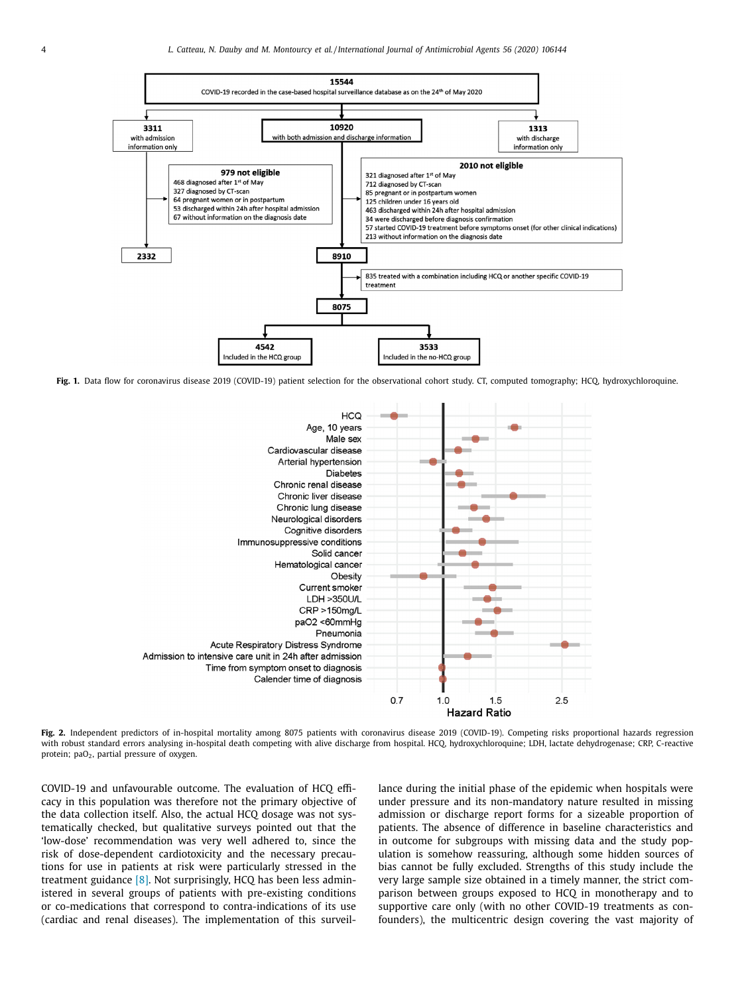

Fig. 1. Data flow for coronavirus disease 2019 (COVID-19) patient selection for the observational cohort study. CT, computed tomography; HCQ, hydroxychloroquine.



**Fig. 2.** Independent predictors of in-hospital mortality among 8075 patients with coronavirus disease 2019 (COVID-19). Competing risks proportional hazards regression with robust standard errors analysing in-hospital death competing with alive discharge from hospital. HCQ, hydroxychloroquine; LDH, lactate dehydrogenase; CRP, C-reactive protein; paO<sub>2</sub>, partial pressure of oxygen.

COVID-19 and unfavourable outcome. The evaluation of HCQ efficacy in this population was therefore not the primary objective of the data collection itself. Also, the actual HCQ dosage was not systematically checked, but qualitative surveys pointed out that the 'low-dose' recommendation was very well adhered to, since the risk of dose-dependent cardiotoxicity and the necessary precautions for use in patients at risk were particularly stressed in the treatment guidance [8]. Not surprisingly, HCQ has been less administered in several groups of patients with pre-existing conditions or co-medications that correspond to contra-indications of its use (cardiac and renal diseases). The implementation of this surveillance during the initial phase of the epidemic when hospitals were under pressure and its non-mandatory nature resulted in missing admission or discharge report forms for a sizeable proportion of patients. The absence of difference in baseline characteristics and in outcome for subgroups with missing data and the study population is somehow reassuring, although some hidden sources of bias cannot be fully excluded. Strengths of this study include the very large sample size obtained in a timely manner, the strict comparison between groups exposed to HCQ in monotherapy and to supportive care only (with no other COVID-19 treatments as confounders), the multicentric design covering the vast majority of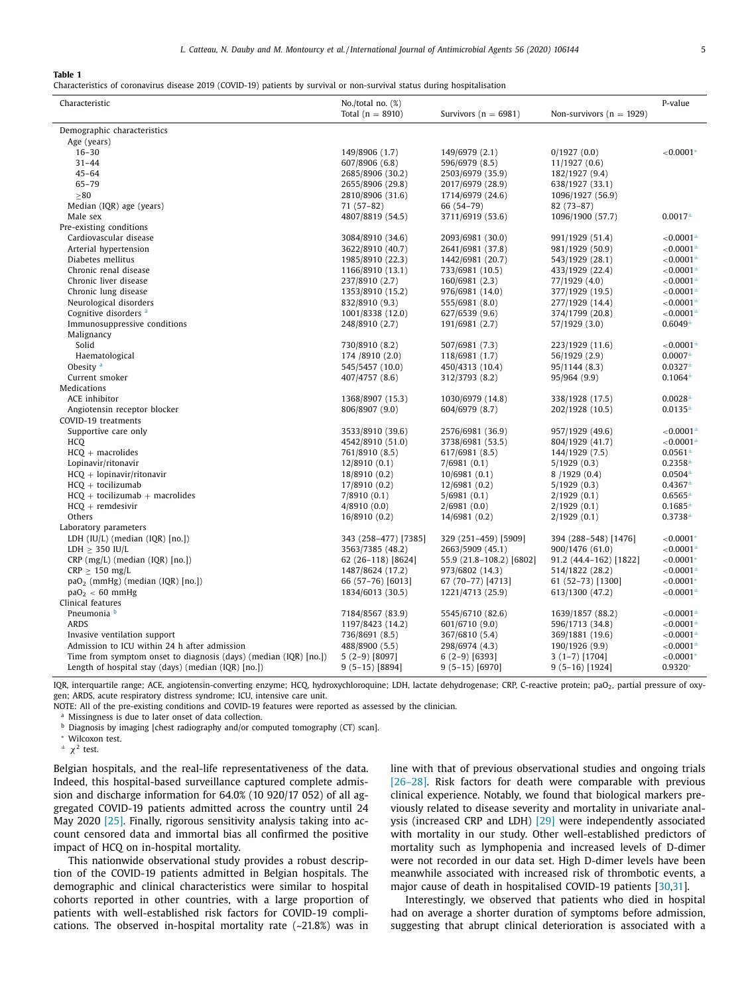**Table 1**

Characteristics of coronavirus disease 2019 (COVID-19) patients by survival or non-survival status during hospitalisation

| Characteristic                                                   | No./total no. (%)    |                          |                              | P-value           |
|------------------------------------------------------------------|----------------------|--------------------------|------------------------------|-------------------|
|                                                                  | Total $(n = 8910)$   | Survivors ( $n = 6981$ ) | Non-survivors ( $n = 1929$ ) |                   |
| Demographic characteristics                                      |                      |                          |                              |                   |
| Age (years)                                                      |                      |                          |                              |                   |
| $16 - 30$                                                        | 149/8906 (1.7)       | 149/6979 (2.1)           | 0/1927(0.0)                  | $< 0.0001*$       |
| $31 - 44$                                                        | 607/8906 (6.8)       | 596/6979 (8.5)           | 11/1927(0.6)                 |                   |
| $45 - 64$                                                        | 2685/8906 (30.2)     | 2503/6979 (35.9)         | 182/1927 (9.4)               |                   |
| $65 - 79$                                                        | 2655/8906 (29.8)     | 2017/6979 (28.9)         | 638/1927 (33.1)              |                   |
| >80                                                              | 2810/8906 (31.6)     | 1714/6979 (24.6)         | 1096/1927 (56.9)             |                   |
| Median (IQR) age (years)                                         | $71(57-82)$          | 66 (54-79)               | $82(73-87)$                  |                   |
| Male sex                                                         | 4807/8819 (54.5)     | 3711/6919 (53.6)         | 1096/1900 (57.7)             | $0.0017+$         |
| Pre-existing conditions                                          |                      |                          |                              |                   |
| Cardiovascular disease                                           | 3084/8910 (34.6)     | 2093/6981 (30.0)         | 991/1929 (51.4)              | ${<}0.0001^{\pm}$ |
| Arterial hypertension                                            | 3622/8910 (40.7)     | 2641/6981 (37.8)         | 981/1929 (50.9)              | ${<}0.0001^{\pm}$ |
| Diabetes mellitus                                                | 1985/8910 (22.3)     | 1442/6981 (20.7)         | 543/1929 (28.1)              | ${<}0.0001^{\pm}$ |
| Chronic renal disease                                            | 1166/8910 (13.1)     | 733/6981 (10.5)          | 433/1929 (22.4)              | $< 0.0001 \pm$    |
| Chronic liver disease                                            | 237/8910 (2.7)       | 160/6981 (2.3)           | 77/1929 (4.0)                | $< 0.0001 \pm$    |
| Chronic lung disease                                             | 1353/8910 (15.2)     | 976/6981 (14.0)          | 377/1929 (19.5)              | $< 0.0001 \pm$    |
| Neurological disorders                                           | 832/8910 (9.3)       | 555/6981 (8.0)           | 277/1929 (14.4)              | $< 0.0001 \pm$    |
| Cognitive disorders <sup>a</sup>                                 | 1001/8338 (12.0)     | 627/6539 (9.6)           | 374/1799 (20.8)              | $< 0.0001 \pm$    |
| Immunosuppressive conditions                                     | 248/8910 (2.7)       | 191/6981 (2.7)           | 57/1929 (3.0)                | $0.6049^{\pm}$    |
| Malignancy                                                       |                      |                          |                              |                   |
| Solid                                                            | 730/8910 (8.2)       | 507/6981 (7.3)           | 223/1929 (11.6)              | ${<}0.0001^{\pm}$ |
| Haematological                                                   | 174 /8910 (2.0)      | 118/6981 (1.7)           | 56/1929 (2.9)                | $0.0007+$         |
| Obesity <sup>a</sup>                                             | 545/5457 (10.0)      | 450/4313 (10.4)          | 95/1144 (8.3)                | $0.0327+$         |
| Current smoker                                                   | 407/4757 (8.6)       | 312/3793 (8.2)           | 95/964 (9.9)                 | $0.1064 +$        |
| Medications                                                      |                      |                          |                              |                   |
| ACE inhibitor                                                    | 1368/8907 (15.3)     | 1030/6979 (14.8)         | 338/1928 (17.5)              | $0.0028^{\pm}$    |
| Angiotensin receptor blocker                                     | 806/8907 (9.0)       | 604/6979 (8.7)           | 202/1928 (10.5)              | $0.0135^{\pm}$    |
| COVID-19 treatments                                              |                      |                          |                              |                   |
| Supportive care only                                             | 3533/8910 (39.6)     | 2576/6981 (36.9)         | 957/1929 (49.6)              | ${<}0.0001^{\pm}$ |
| <b>HCQ</b>                                                       | 4542/8910 (51.0)     | 3738/6981 (53.5)         | 804/1929 (41.7)              | $< 0.0001 \pm$    |
| $HCQ + macrolides$                                               | 761/8910 (8.5)       | 617/6981 (8.5)           | 144/1929 (7.5)               | $0.0561 +$        |
| Lopinavir/ritonavir                                              | 12/8910 (0.1)        | 7/6981(0.1)              | 5/1929(0.3)                  | $0.2358 +$        |
| $HCQ + lopinavir/ritonavir$                                      | 18/8910 (0.2)        | 10/6981(0.1)             | 8 / 1929 (0.4)               | $0.0504^{\pm}$    |
| $HCO +$ tocilizumab                                              | 17/8910 (0.2)        | 12/6981(0.2)             | 5/1929(0.3)                  | $0.4367^{\pm}$    |
| $HCQ +$ tocilizumab + macrolides                                 | 7/8910(0.1)          | 5/6981(0.1)              | 2/1929(0.1)                  | $0.6565^{\pm}$    |
| $HCQ + remdesivir$                                               | 4/8910(0.0)          | 2/6981(0.0)              | 2/1929(0.1)                  | $0.1685^{\pm}$    |
| Others                                                           | 16/8910 (0.2)        | 14/6981 (0.2)            | 2/1929(0.1)                  | $0.3738 +$        |
| Laboratory parameters                                            |                      |                          |                              |                   |
| LDH $(IU/L)$ (median $(IQR)$ [no.])                              | 343 (258-477) [7385] | 329 (251-459) [5909]     | 394 (288–548) [1476]         | ${<}0.0001*$      |
| LDH $\geq$ 350 IU/L                                              | 3563/7385 (48.2)     | 2663/5909 (45.1)         | 900/1476 (61.0)              | ${<}0.0001^{\pm}$ |
| $CRP$ (mg/L) (median (IQR) [no.])                                | 62 (26-118) [8624]   | 55.9 (21.8-108.2) [6802] | 91.2 (44.4-162) [1822]       | ${<}0.0001*$      |
| $CRP \geq 150$ mg/L                                              | 1487/8624 (17.2)     | 973/6802 (14.3)          | 514/1822 (28.2)              | $< 0.0001 \pm$    |
| paO <sub>2</sub> (mmHg) (median (IQR) [no.])                     | 66 (57-76) [6013]    | 67 (70-77) [4713]        | 61 (52-73) [1300]            | ${<}0.0001*$      |
| $paO2 < 60$ mmHg                                                 | 1834/6013 (30.5)     | 1221/4713 (25.9)         | 613/1300 (47.2)              | ${<}0.0001^{\pm}$ |
| Clinical features                                                |                      |                          |                              |                   |
| Pneumonia b                                                      | 7184/8567 (83.9)     | 5545/6710 (82.6)         | 1639/1857 (88.2)             | ${<}0.0001^{\pm}$ |
| <b>ARDS</b>                                                      | 1197/8423 (14.2)     | 601/6710 (9.0)           | 596/1713 (34.8)              | ${<}0.0001^{\pm}$ |
| Invasive ventilation support                                     | 736/8691 (8.5)       | 367/6810 (5.4)           | 369/1881 (19.6)              | ${<}0.0001^{\pm}$ |
| Admission to ICU within 24 h after admission                     | 488/8900 (5.5)       | 298/6974 (4.3)           | 190/1926 (9.9)               | $< 0.0001 \pm$    |
| Time from symptom onset to diagnosis (days) (median (IQR) [no.]) | $5(2-9)$ [8097]      | $6(2-9)$ [6393]          | $3(1-7)$ [1704]              | ${<}0.0001*$      |
| Length of hospital stay (days) (median (IQR) [no.])              | $9(5-15)[8894]$      | $9(5-15)[6970]$          | $9(5-16)[1924]$              | 0.9320*           |
| <b>Article State Adventure Contracts</b><br>$\frac{1}{2}$        | $\mathbf{r}$         | $\sim$                   | $\cdots$                     |                   |

IQR, interquartile range; ACE, angiotensin-converting enzyme; HCQ, hydroxychloroquine; LDH, lactate dehydrogenase; CRP, C-reactive protein; paO<sub>2</sub>, partial pressure of oxygen; ARDS, acute respiratory distress syndrome; ICU, intensive care unit.

NOTE: All of the pre-existing conditions and COVID-19 features were reported as assessed by the clinician.

<sup>a</sup> Missingness is due to later onset of data collection.

**b** Diagnosis by imaging [chest radiography and/or computed tomography (CT) scan].

<sup>∗</sup> Wilcoxon test.

 $\pm \chi^2$  test.

Belgian hospitals, and the real-life representativeness of the data. Indeed, this hospital-based surveillance captured complete admission and discharge information for 64.0% (10 920/17 052) of all aggregated COVID-19 patients admitted across the country until 24 May 2020 [25]. Finally, rigorous sensitivity analysis taking into account censored data and immortal bias all confirmed the positive impact of HCQ on in-hospital mortality.

This nationwide observational study provides a robust description of the COVID-19 patients admitted in Belgian hospitals. The demographic and clinical characteristics were similar to hospital cohorts reported in other countries, with a large proportion of patients with well-established risk factors for COVID-19 complications. The observed in-hospital mortality rate (~21.8%) was in

line with that of previous observational studies and ongoing trials [26–28]. Risk factors for death were comparable with previous clinical experience. Notably, we found that biological markers previously related to disease severity and mortality in univariate analysis (increased CRP and LDH) [29] were independently associated with mortality in our study. Other well-established predictors of mortality such as lymphopenia and increased levels of D-dimer were not recorded in our data set. High D-dimer levels have been meanwhile associated with increased risk of thrombotic events, a major cause of death in hospitalised COVID-19 patients [30,31].

Interestingly, we observed that patients who died in hospital had on average a shorter duration of symptoms before admission, suggesting that abrupt clinical deterioration is associated with a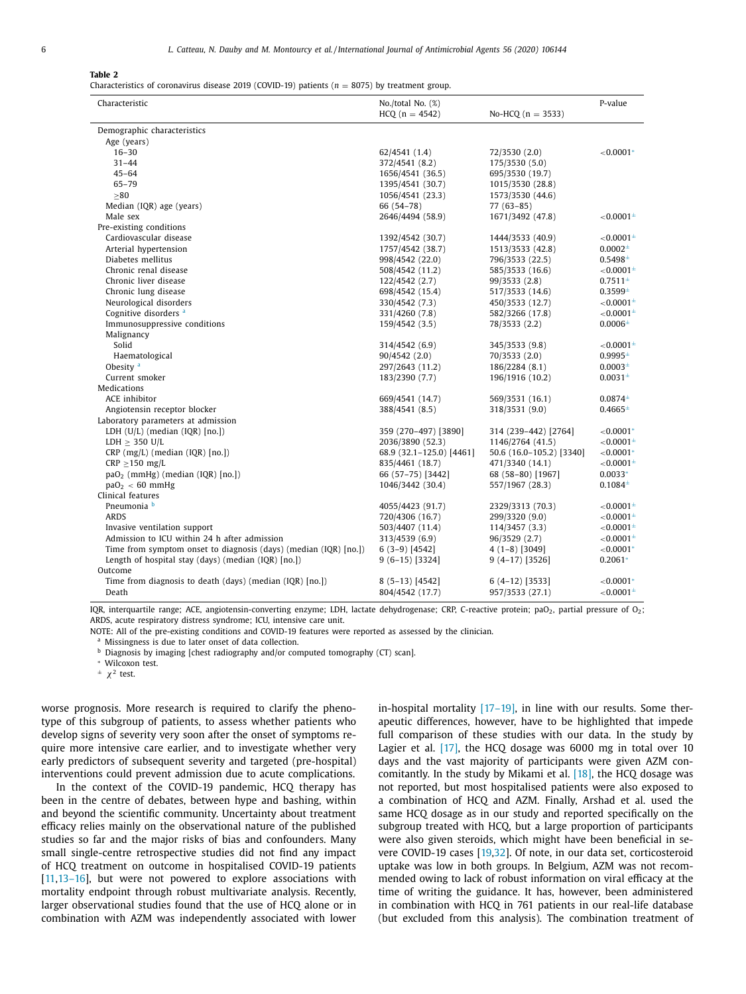#### **Table 2**

Characteristics of coronavirus disease 2019 (COVID-19) patients ( $n = 8075$ ) by treatment group.

| Characteristic                                                   | $No./total No.$ $(\%)$   |                          | P-value             |
|------------------------------------------------------------------|--------------------------|--------------------------|---------------------|
|                                                                  | $HCQ (n = 4542)$         | No-HCQ $(n = 3533)$      |                     |
| Demographic characteristics                                      |                          |                          |                     |
| Age (years)                                                      |                          |                          |                     |
| $16 - 30$                                                        | 62/4541 (1.4)            | 72/3530 (2.0)            | ${<}0.0001*$        |
| $31 - 44$                                                        | 372/4541 (8.2)           | 175/3530 (5.0)           |                     |
| $45 - 64$                                                        | 1656/4541 (36.5)         | 695/3530 (19.7)          |                     |
| $65 - 79$                                                        | 1395/4541 (30.7)         | 1015/3530 (28.8)         |                     |
| >80                                                              | 1056/4541 (23.3)         | 1573/3530 (44.6)         |                     |
| Median (IQR) age (years)                                         | 66 (54-78)               | $77(63 - 85)$            |                     |
| Male sex                                                         | 2646/4494 (58.9)         | 1671/3492 (47.8)         | $< 0.0001^{\pm}$    |
| Pre-existing conditions                                          |                          |                          |                     |
| Cardiovascular disease                                           | 1392/4542 (30.7)         | 1444/3533 (40.9)         | $< 0.0001^{\pm}$    |
| Arterial hypertension                                            | 1757/4542 (38.7)         | 1513/3533 (42.8)         | $0.0002^{\pm}$      |
| Diabetes mellitus                                                | 998/4542 (22.0)          | 796/3533 (22.5)          | $0.5498^{\pm}$      |
| Chronic renal disease                                            | 508/4542 (11.2)          | 585/3533 (16.6)          | ${<}0.0001^{\pm}$   |
| Chronic liver disease                                            | 122/4542 (2.7)           | 99/3533 (2.8)            | $0.7511^{\pm}$      |
| Chronic lung disease                                             | 698/4542 (15.4)          | 517/3533 (14.6)          | $0.3599^{\pm}$      |
| Neurological disorders                                           | 330/4542 (7.3)           | 450/3533 (12.7)          | ${<}0.0001^{\pm}$   |
| Cognitive disorders <sup>a</sup>                                 | 331/4260 (7.8)           | 582/3266 (17.8)          | $< 0.0001^{\pm}$    |
| Immunosuppressive conditions                                     | 159/4542 (3.5)           | 78/3533 (2.2)            | $0.0006^{\pm}$      |
| Malignancy                                                       |                          |                          |                     |
| Solid                                                            | 314/4542 (6.9)           | 345/3533 (9.8)           | ${<}0.0001^{\pm}$   |
| Haematological                                                   | 90/4542(2.0)             | 70/3533 (2.0)            | $0.9995^{\pm}$      |
| Obesity <sup>a</sup>                                             | 297/2643 (11.2)          | 186/2284 (8.1)           | $0.0003^{\pm}$      |
| Current smoker                                                   | 183/2390 (7.7)           | 196/1916 (10.2)          | 0.0031 <sup>±</sup> |
| Medications                                                      |                          |                          |                     |
| ACE inhibitor                                                    | 669/4541 (14.7)          | 569/3531 (16.1)          | $0.0874^{\pm}$      |
| Angiotensin receptor blocker                                     | 388/4541 (8.5)           | 318/3531 (9.0)           | $0.4665^{\pm}$      |
| Laboratory parameters at admission                               |                          |                          |                     |
| LDH $(U/L)$ (median $(IQR)$ [no.])                               | 359 (270-497) [3890]     | 314 (239-442) [2764]     | ${<}0.0001*$        |
| LDH $\geq$ 350 U/L                                               | 2036/3890 (52.3)         | 1146/2764 (41.5)         | $< 0.0001^{\pm}$    |
| $CRP$ (mg/L) (median (IQR) [no.])                                | 68.9 (32.1-125.0) [4461] | 50.6 (16.0-105.2) [3340] | ${<}0.0001*$        |
| $CRP \ge 150$ mg/L                                               | 835/4461 (18.7)          | 471/3340 (14.1)          | $< 0.0001^{\pm}$    |
| $paO2$ (mmHg) (median (IQR) [no.])                               | 66 (57-75) [3442]        | 68 (58-80) [1967]        | $0.0033*$           |
| paO <sub>2</sub> < 60 mmHg                                       | 1046/3442 (30.4)         | 557/1967 (28.3)          | $0.1084^{\pm}$      |
| Clinical features                                                |                          |                          |                     |
| Pneumonia b                                                      | 4055/4423 (91.7)         | 2329/3313 (70.3)         | ${<}0.0001^{\pm}$   |
| <b>ARDS</b>                                                      | 720/4306 (16.7)          | 299/3320 (9.0)           | $< 0.0001^{\pm}$    |
| Invasive ventilation support                                     | 503/4407 (11.4)          | 114/3457 (3.3)           | ${<}0.0001^{\pm}$   |
| Admission to ICU within 24 h after admission                     | 313/4539 (6.9)           | 96/3529 (2.7)            | $< 0.0001^{\pm}$    |
| Time from symptom onset to diagnosis (days) (median (IQR) [no.]) | $6(3-9)$ [4542]          | $4(1-8)$ [3049]          | ${<}0.0001*$        |
| Length of hospital stay (days) (median (IQR) [no.])              | $9(6-15)[3324]$          | $9(4-17)[3526]$          | $0.2061*$           |
| Outcome                                                          |                          |                          |                     |
| Time from diagnosis to death (days) (median (IQR) [no.])         | $8(5-13)[4542]$          | 6 (4–12) [3533]          | ${<}0.0001*$        |
| Death                                                            | 804/4542 (17.7)          | 957/3533 (27.1)          | ${<}0.0001^{\pm}$   |

IQR, interquartile range; ACE, angiotensin-converting enzyme; LDH, lactate dehydrogenase; CRP, C-reactive protein; paO<sub>2</sub>, partial pressure of O<sub>2</sub>; ARDS, acute respiratory distress syndrome; ICU, intensive care unit.

NOTE: All of the pre-existing conditions and COVID-19 features were reported as assessed by the clinician.

a Missingness is due to later onset of data collection.

<sup>b</sup> Diagnosis by imaging [chest radiography and/or computed tomography (CT) scan].

<sup>∗</sup> Wilcoxon test.

 $\pm \chi^2$  test.

worse prognosis. More research is required to clarify the phenotype of this subgroup of patients, to assess whether patients who develop signs of severity very soon after the onset of symptoms require more intensive care earlier, and to investigate whether very early predictors of subsequent severity and targeted (pre-hospital) interventions could prevent admission due to acute complications.

In the context of the COVID-19 pandemic, HCQ therapy has been in the centre of debates, between hype and bashing, within and beyond the scientific community. Uncertainty about treatment efficacy relies mainly on the observational nature of the published studies so far and the major risks of bias and confounders. Many small single-centre retrospective studies did not find any impact of HCQ treatment on outcome in hospitalised COVID-19 patients [11,13–16], but were not powered to explore associations with mortality endpoint through robust multivariate analysis. Recently, larger observational studies found that the use of HCQ alone or in combination with AZM was independently associated with lower in-hospital mortality [17–19], in line with our results. Some therapeutic differences, however, have to be highlighted that impede full comparison of these studies with our data. In the study by Lagier et al. [17], the HCQ dosage was 6000 mg in total over 10 days and the vast majority of participants were given AZM concomitantly. In the study by Mikami et al. [18], the HCQ dosage was not reported, but most hospitalised patients were also exposed to a combination of HCQ and AZM. Finally, Arshad et al. used the same HCQ dosage as in our study and reported specifically on the subgroup treated with HCQ, but a large proportion of participants were also given steroids, which might have been beneficial in severe COVID-19 cases [19,32]. Of note, in our data set, corticosteroid uptake was low in both groups. In Belgium, AZM was not recommended owing to lack of robust information on viral efficacy at the time of writing the guidance. It has, however, been administered in combination with HCQ in 761 patients in our real-life database (but excluded from this analysis). The combination treatment of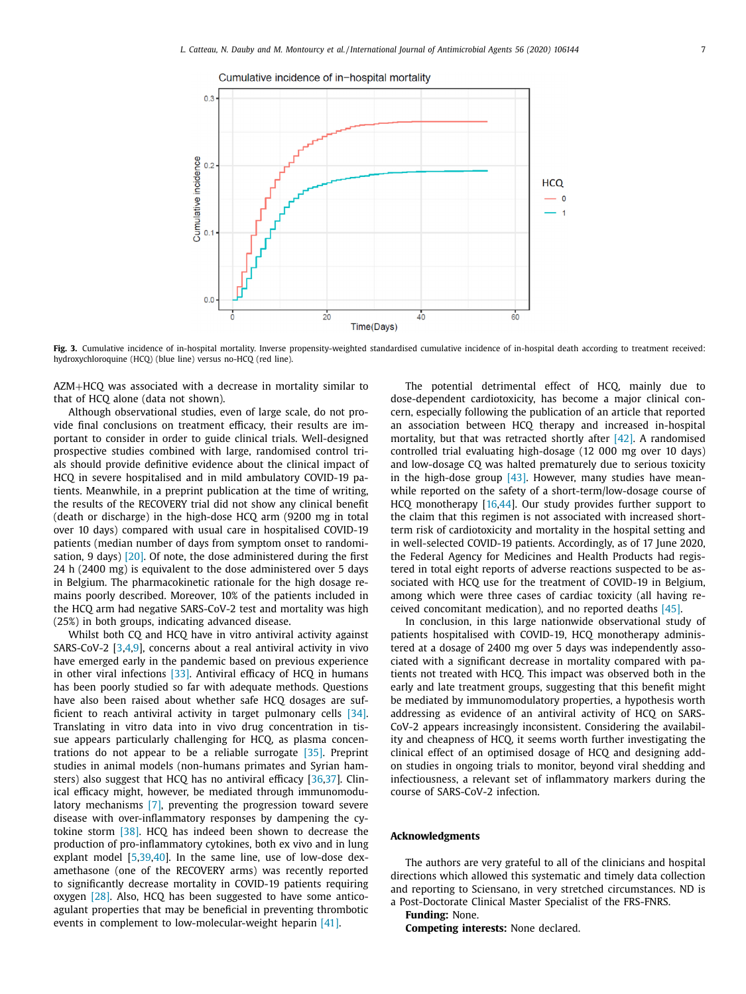

**Fig. 3.** Cumulative incidence of in-hospital mortality. Inverse propensity-weighted standardised cumulative incidence of in-hospital death according to treatment received: hydroxychloroquine (HCQ) (blue line) versus no-HCQ (red line).

AZM+HCQ was associated with a decrease in mortality similar to that of HCQ alone (data not shown).

Although observational studies, even of large scale, do not provide final conclusions on treatment efficacy, their results are important to consider in order to guide clinical trials. Well-designed prospective studies combined with large, randomised control trials should provide definitive evidence about the clinical impact of HCQ in severe hospitalised and in mild ambulatory COVID-19 patients. Meanwhile, in a preprint publication at the time of writing, the results of the RECOVERY trial did not show any clinical benefit (death or discharge) in the high-dose HCQ arm (9200 mg in total over 10 days) compared with usual care in hospitalised COVID-19 patients (median number of days from symptom onset to randomisation, 9 days)  $[20]$ . Of note, the dose administered during the first 24 h (2400 mg) is equivalent to the dose administered over 5 days in Belgium. The pharmacokinetic rationale for the high dosage remains poorly described. Moreover, 10% of the patients included in the HCQ arm had negative SARS-CoV-2 test and mortality was high (25%) in both groups, indicating advanced disease.

Whilst both CQ and HCQ have in vitro antiviral activity against SARS-CoV-2 [3,4,9], concerns about a real antiviral activity in vivo have emerged early in the pandemic based on previous experience in other viral infections [33]. Antiviral efficacy of HCQ in humans has been poorly studied so far with adequate methods. Questions have also been raised about whether safe HCQ dosages are sufficient to reach antiviral activity in target pulmonary cells [34]. Translating in vitro data into in vivo drug concentration in tissue appears particularly challenging for HCQ, as plasma concentrations do not appear to be a reliable surrogate [35]. Preprint studies in animal models (non-humans primates and Syrian hamsters) also suggest that HCQ has no antiviral efficacy [36,37]. Clinical efficacy might, however, be mediated through immunomodulatory mechanisms [7], preventing the progression toward severe disease with over-inflammatory responses by dampening the cytokine storm [38]. HCQ has indeed been shown to decrease the production of pro-inflammatory cytokines, both ex vivo and in lung explant model [5,39,40]. In the same line, use of low-dose dexamethasone (one of the RECOVERY arms) was recently reported to significantly decrease mortality in COVID-19 patients requiring oxygen [28]. Also, HCQ has been suggested to have some anticoagulant properties that may be beneficial in preventing thrombotic events in complement to low-molecular-weight heparin [41].

The potential detrimental effect of HCQ, mainly due to dose-dependent cardiotoxicity, has become a major clinical concern, especially following the publication of an article that reported an association between HCQ therapy and increased in-hospital mortality, but that was retracted shortly after [42]. A randomised controlled trial evaluating high-dosage (12 000 mg over 10 days) and low-dosage CQ was halted prematurely due to serious toxicity in the high-dose group  $[43]$ . However, many studies have meanwhile reported on the safety of a short-term/low-dosage course of HCQ monotherapy [16,44]. Our study provides further support to the claim that this regimen is not associated with increased shortterm risk of cardiotoxicity and mortality in the hospital setting and in well-selected COVID-19 patients. Accordingly, as of 17 June 2020, the Federal Agency for Medicines and Health Products had registered in total eight reports of adverse reactions suspected to be associated with HCQ use for the treatment of COVID-19 in Belgium, among which were three cases of cardiac toxicity (all having received concomitant medication), and no reported deaths [45].

In conclusion, in this large nationwide observational study of patients hospitalised with COVID-19, HCQ monotherapy administered at a dosage of 2400 mg over 5 days was independently associated with a significant decrease in mortality compared with patients not treated with HCQ. This impact was observed both in the early and late treatment groups, suggesting that this benefit might be mediated by immunomodulatory properties, a hypothesis worth addressing as evidence of an antiviral activity of HCQ on SARS-CoV-2 appears increasingly inconsistent. Considering the availability and cheapness of HCQ, it seems worth further investigating the clinical effect of an optimised dosage of HCQ and designing addon studies in ongoing trials to monitor, beyond viral shedding and infectiousness, a relevant set of inflammatory markers during the course of SARS-CoV-2 infection.

## **Acknowledgments**

The authors are very grateful to all of the clinicians and hospital directions which allowed this systematic and timely data collection and reporting to Sciensano, in very stretched circumstances. ND is a Post-Doctorate Clinical Master Specialist of the FRS-FNRS.

**Funding:** None.

**Competing interests:** None declared.